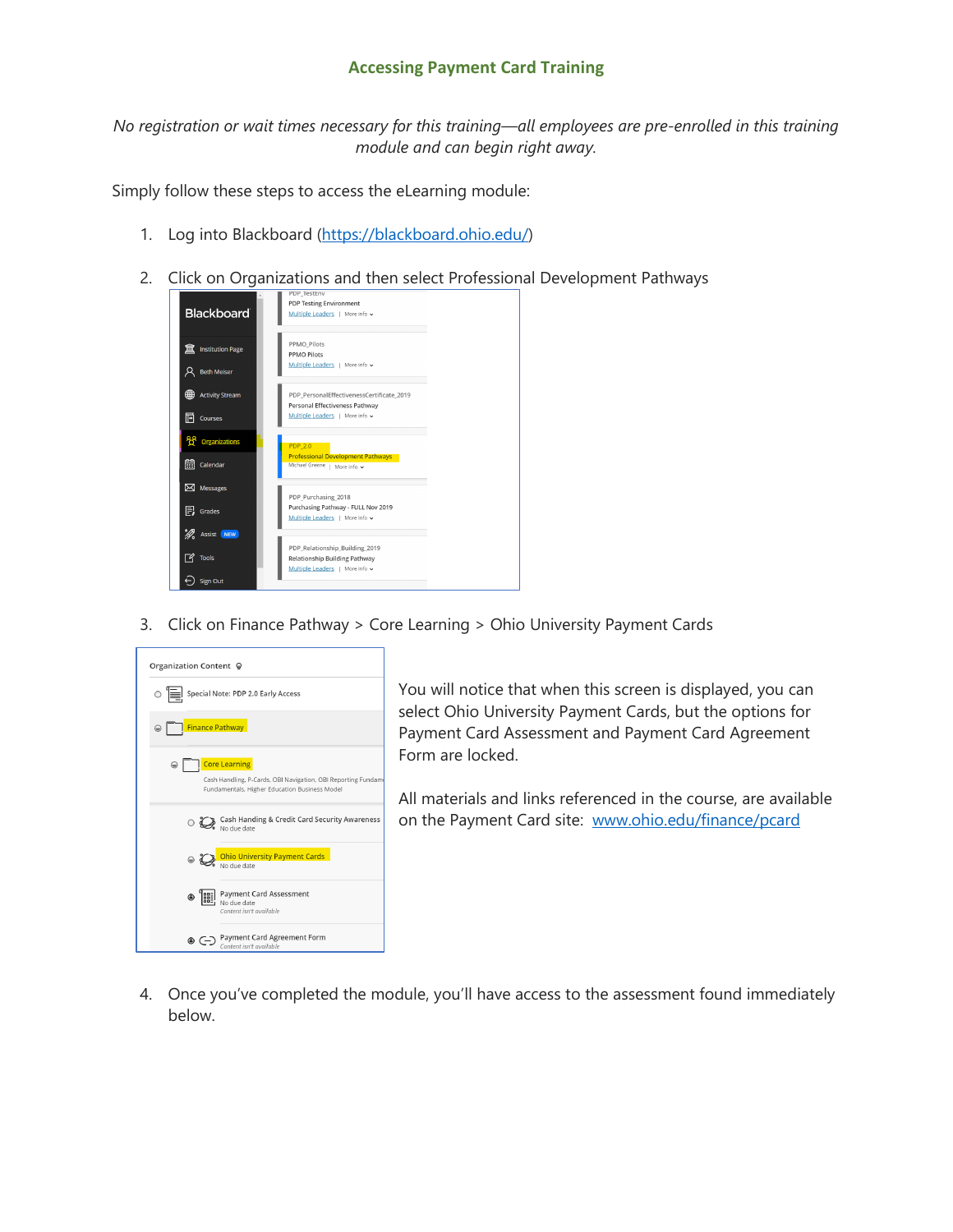## **Accessing Payment Card Training**

*No registration or wait times necessary for this training—all employees are pre-enrolled in this training module and can begin right away.*

Simply follow these steps to access the eLearning module:

- 1. Log into Blackboard [\(https://blackboard.ohio.edu/\)](https://blackboard.ohio.edu/)
- 2. Click on Organizations and then select Professional Development Pathways



3. Click on Finance Pathway > Core Learning > Ohio University Payment Cards



You will notice that when this screen is displayed, you can select Ohio University Payment Cards, but the options for Payment Card Assessment and Payment Card Agreement Form are locked.

All materials and links referenced in the course, are available on the Payment Card site: [www.ohio.edu/finance/pcard](http://www.ohio.edu/finance/pcard)

4. Once you've completed the module, you'll have access to the assessment found immediately below.